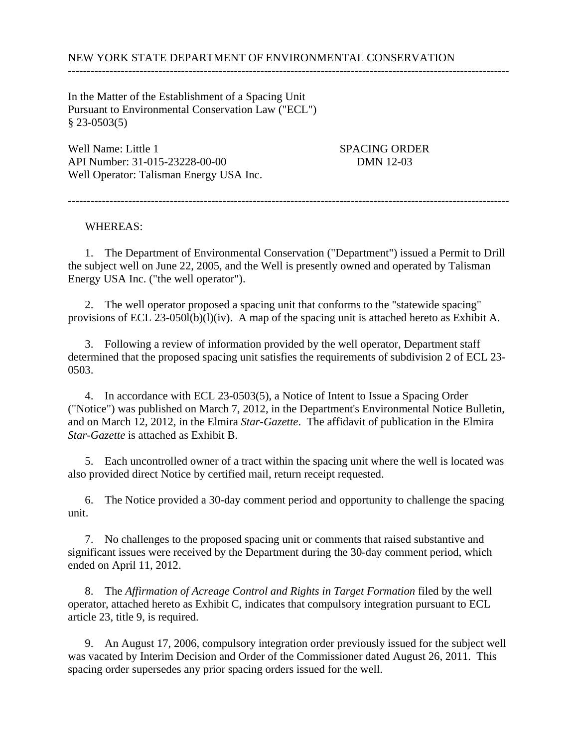---------------------------------------------------------------------------------------------------------------------

In the Matter of the Establishment of a Spacing Unit Pursuant to Environmental Conservation Law ("ECL")  $§$  23-0503(5)

Well Name: Little 1 SPACING ORDER API Number: 31-015-23228-00-00 DMN 12-03 Well Operator: Talisman Energy USA Inc.

WHEREAS:

 1. The Department of Environmental Conservation ("Department") issued a Permit to Drill the subject well on June 22, 2005, and the Well is presently owned and operated by Talisman Energy USA Inc. ("the well operator").

---------------------------------------------------------------------------------------------------------------------

 2. The well operator proposed a spacing unit that conforms to the "statewide spacing" provisions of ECL 23-050l(b)(l)(iv). A map of the spacing unit is attached hereto as Exhibit A.

 3. Following a review of information provided by the well operator, Department staff determined that the proposed spacing unit satisfies the requirements of subdivision 2 of ECL 23- 0503.

 4. In accordance with ECL 23-0503(5), a Notice of Intent to Issue a Spacing Order ("Notice") was published on March 7, 2012, in the Department's Environmental Notice Bulletin, and on March 12, 2012, in the Elmira *Star-Gazette*. The affidavit of publication in the Elmira *Star-Gazette* is attached as Exhibit B.

 5. Each uncontrolled owner of a tract within the spacing unit where the well is located was also provided direct Notice by certified mail, return receipt requested.

 6. The Notice provided a 30-day comment period and opportunity to challenge the spacing unit.

 7. No challenges to the proposed spacing unit or comments that raised substantive and significant issues were received by the Department during the 30-day comment period, which ended on April 11, 2012.

 8. The *Affirmation of Acreage Control and Rights in Target Formation* filed by the well operator, attached hereto as Exhibit C, indicates that compulsory integration pursuant to ECL article 23, title 9, is required.

 9. An August 17, 2006, compulsory integration order previously issued for the subject well was vacated by Interim Decision and Order of the Commissioner dated August 26, 2011. This spacing order supersedes any prior spacing orders issued for the well.